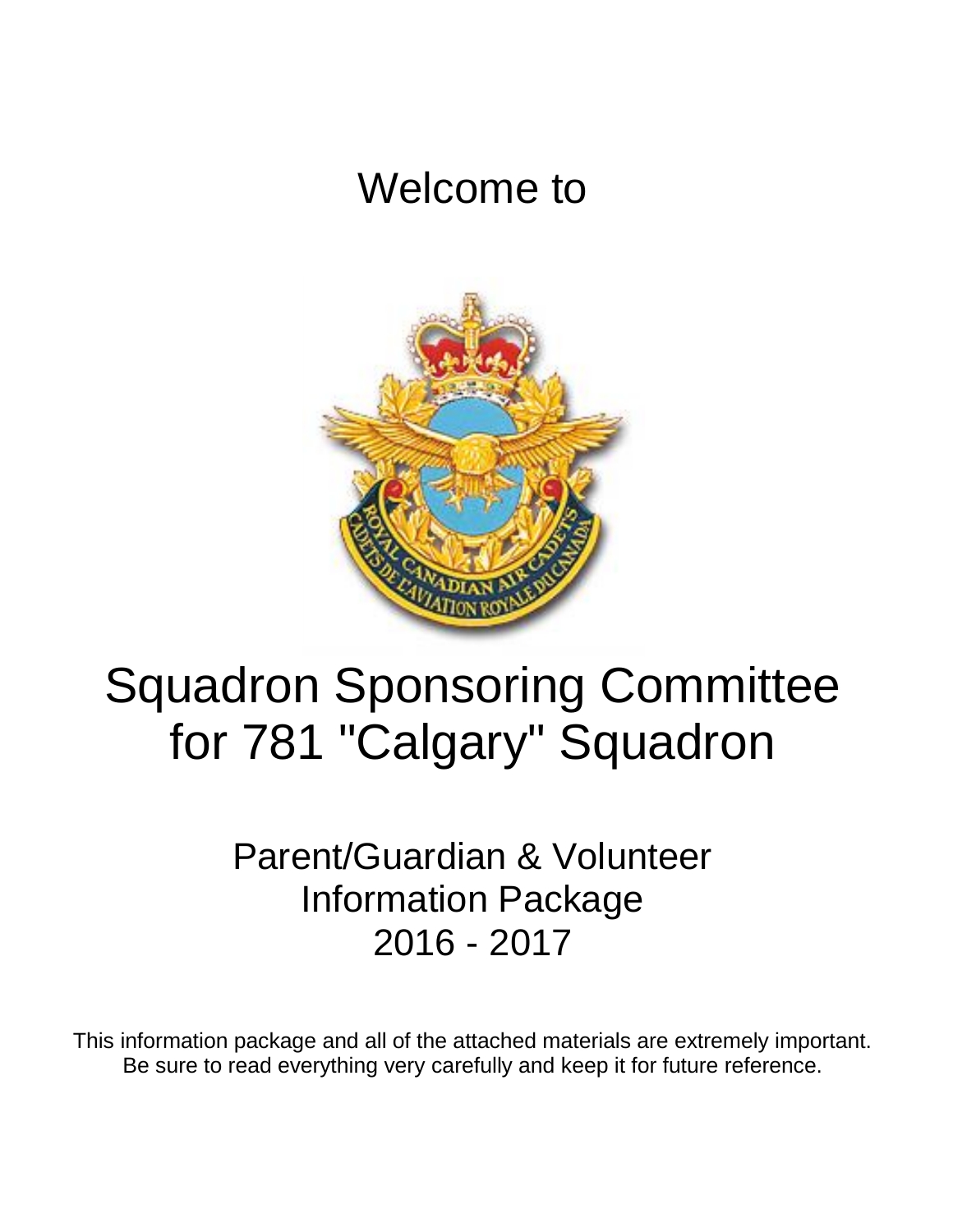# Welcome to



# Squadron Sponsoring Committee for 781 "Calgary" Squadron

Parent/Guardian & Volunteer Information Package 2016 - 2017

This information package and all of the attached materials are extremely important. Be sure to read everything very carefully and keep it for future reference.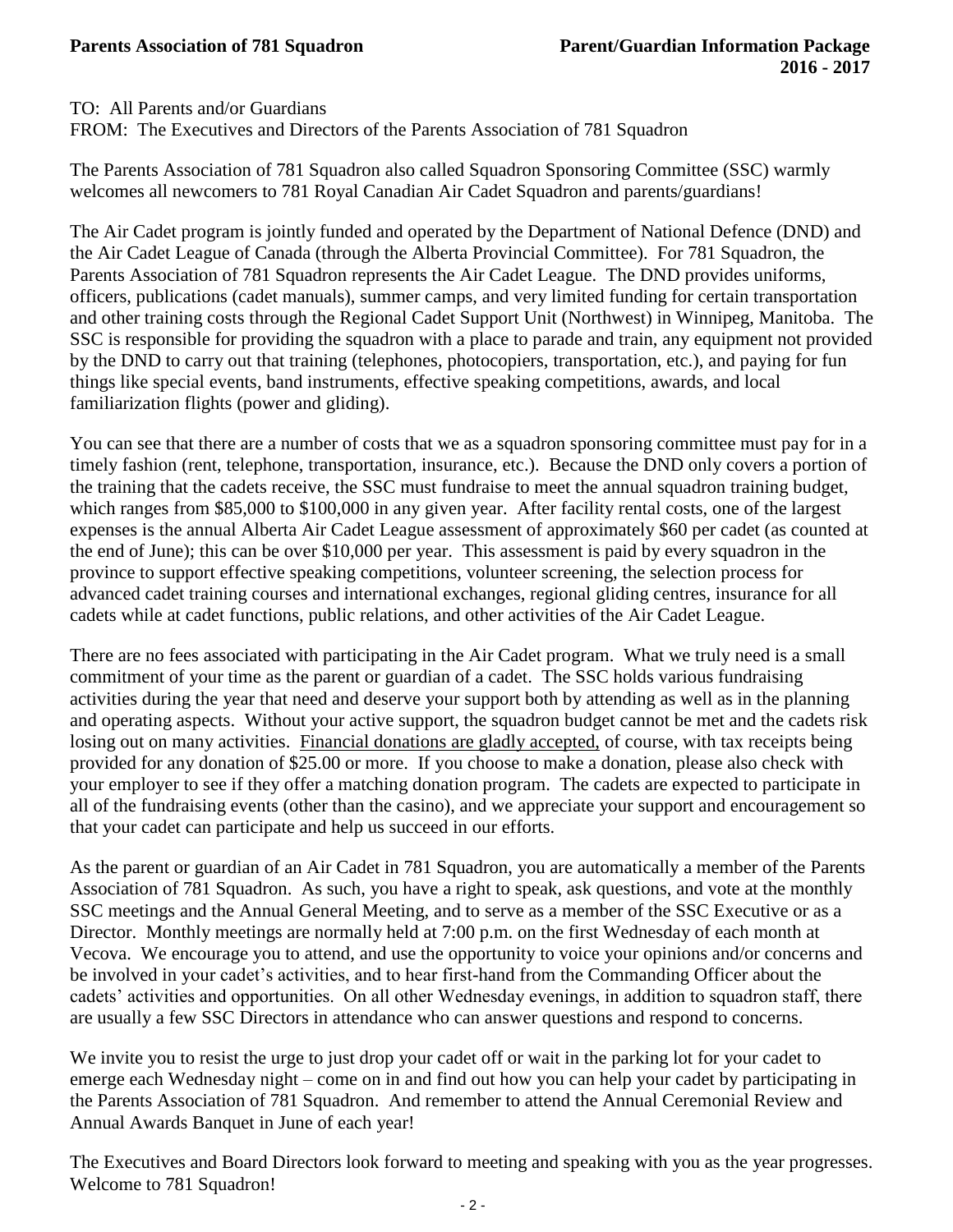TO: All Parents and/or Guardians

FROM: The Executives and Directors of the Parents Association of 781 Squadron

The Parents Association of 781 Squadron also called Squadron Sponsoring Committee (SSC) warmly welcomes all newcomers to 781 Royal Canadian Air Cadet Squadron and parents/guardians!

The Air Cadet program is jointly funded and operated by the Department of National Defence (DND) and the Air Cadet League of Canada (through the Alberta Provincial Committee). For 781 Squadron, the Parents Association of 781 Squadron represents the Air Cadet League. The DND provides uniforms, officers, publications (cadet manuals), summer camps, and very limited funding for certain transportation and other training costs through the Regional Cadet Support Unit (Northwest) in Winnipeg, Manitoba. The SSC is responsible for providing the squadron with a place to parade and train, any equipment not provided by the DND to carry out that training (telephones, photocopiers, transportation, etc.), and paying for fun things like special events, band instruments, effective speaking competitions, awards, and local familiarization flights (power and gliding).

You can see that there are a number of costs that we as a squadron sponsoring committee must pay for in a timely fashion (rent, telephone, transportation, insurance, etc.). Because the DND only covers a portion of the training that the cadets receive, the SSC must fundraise to meet the annual squadron training budget, which ranges from \$85,000 to \$100,000 in any given year. After facility rental costs, one of the largest expenses is the annual Alberta Air Cadet League assessment of approximately \$60 per cadet (as counted at the end of June); this can be over \$10,000 per year. This assessment is paid by every squadron in the province to support effective speaking competitions, volunteer screening, the selection process for advanced cadet training courses and international exchanges, regional gliding centres, insurance for all cadets while at cadet functions, public relations, and other activities of the Air Cadet League.

There are no fees associated with participating in the Air Cadet program. What we truly need is a small commitment of your time as the parent or guardian of a cadet. The SSC holds various fundraising activities during the year that need and deserve your support both by attending as well as in the planning and operating aspects. Without your active support, the squadron budget cannot be met and the cadets risk losing out on many activities. Financial donations are gladly accepted, of course, with tax receipts being provided for any donation of \$25.00 or more. If you choose to make a donation, please also check with your employer to see if they offer a matching donation program. The cadets are expected to participate in all of the fundraising events (other than the casino), and we appreciate your support and encouragement so that your cadet can participate and help us succeed in our efforts.

As the parent or guardian of an Air Cadet in 781 Squadron, you are automatically a member of the Parents Association of 781 Squadron. As such, you have a right to speak, ask questions, and vote at the monthly SSC meetings and the Annual General Meeting, and to serve as a member of the SSC Executive or as a Director. Monthly meetings are normally held at 7:00 p.m. on the first Wednesday of each month at Vecova. We encourage you to attend, and use the opportunity to voice your opinions and/or concerns and be involved in your cadet's activities, and to hear first-hand from the Commanding Officer about the cadets' activities and opportunities. On all other Wednesday evenings, in addition to squadron staff, there are usually a few SSC Directors in attendance who can answer questions and respond to concerns.

We invite you to resist the urge to just drop your cadet off or wait in the parking lot for your cadet to emerge each Wednesday night – come on in and find out how you can help your cadet by participating in the Parents Association of 781 Squadron. And remember to attend the Annual Ceremonial Review and Annual Awards Banquet in June of each year!

The Executives and Board Directors look forward to meeting and speaking with you as the year progresses. Welcome to 781 Squadron!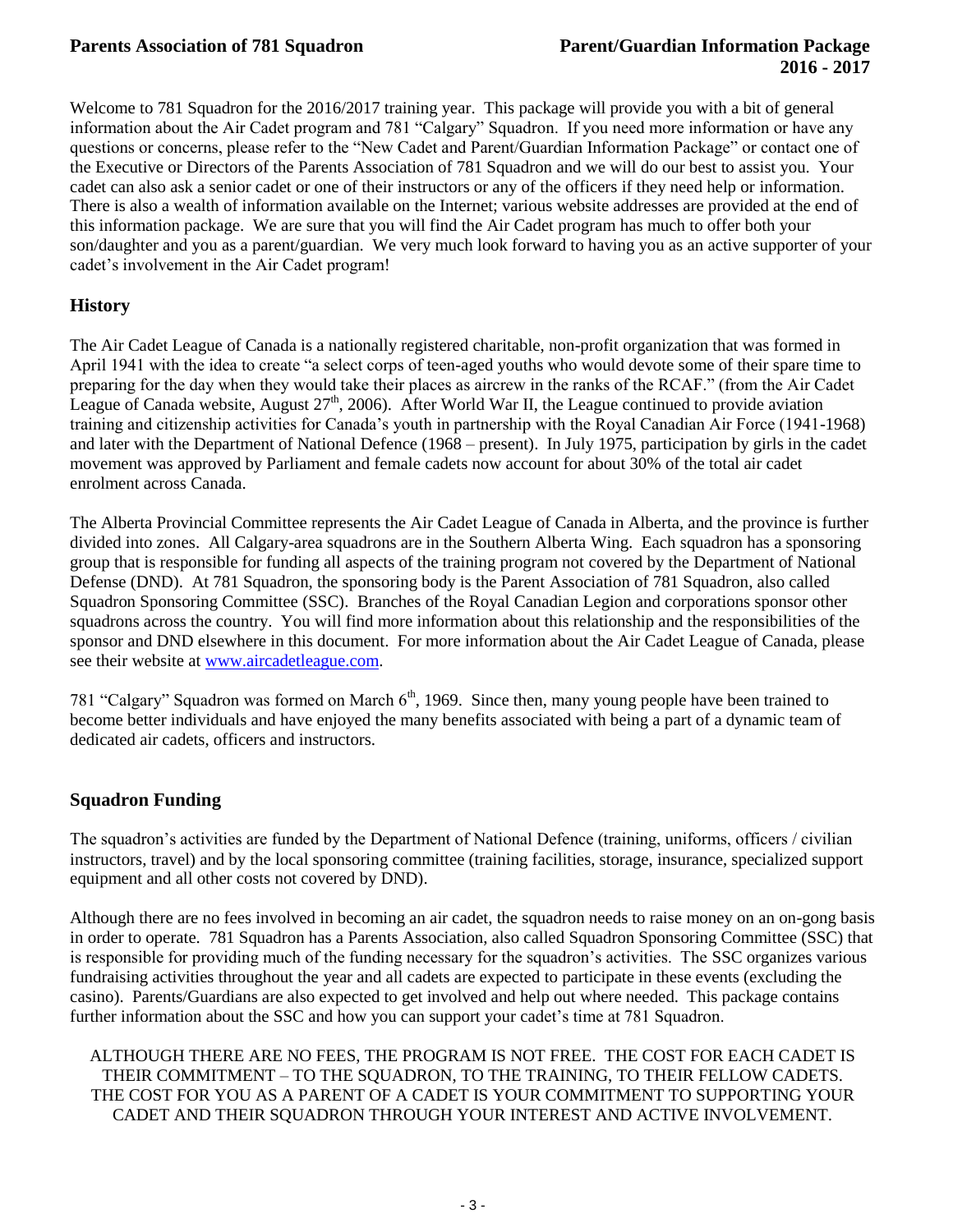Welcome to 781 Squadron for the 2016/2017 training year. This package will provide you with a bit of general information about the Air Cadet program and 781 "Calgary" Squadron. If you need more information or have any questions or concerns, please refer to the "New Cadet and Parent/Guardian Information Package" or contact one of the Executive or Directors of the Parents Association of 781 Squadron and we will do our best to assist you. Your cadet can also ask a senior cadet or one of their instructors or any of the officers if they need help or information. There is also a wealth of information available on the Internet; various website addresses are provided at the end of this information package. We are sure that you will find the Air Cadet program has much to offer both your son/daughter and you as a parent/guardian. We very much look forward to having you as an active supporter of your cadet's involvement in the Air Cadet program!

# **History**

The Air Cadet League of Canada is a nationally registered charitable, non-profit organization that was formed in April 1941 with the idea to create "a select corps of teen-aged youths who would devote some of their spare time to preparing for the day when they would take their places as aircrew in the ranks of the RCAF." (from the Air Cadet League of Canada website, August  $27<sup>th</sup>$ , 2006). After World War II, the League continued to provide aviation training and citizenship activities for Canada's youth in partnership with the Royal Canadian Air Force (1941-1968) and later with the Department of National Defence (1968 – present). In July 1975, participation by girls in the cadet movement was approved by Parliament and female cadets now account for about 30% of the total air cadet enrolment across Canada.

The Alberta Provincial Committee represents the Air Cadet League of Canada in Alberta, and the province is further divided into zones. All Calgary-area squadrons are in the Southern Alberta Wing. Each squadron has a sponsoring group that is responsible for funding all aspects of the training program not covered by the Department of National Defense (DND). At 781 Squadron, the sponsoring body is the Parent Association of 781 Squadron, also called Squadron Sponsoring Committee (SSC). Branches of the Royal Canadian Legion and corporations sponsor other squadrons across the country. You will find more information about this relationship and the responsibilities of the sponsor and DND elsewhere in this document. For more information about the Air Cadet League of Canada, please see their website a[t www.aircadetleague.com.](http://www.aircadetleague.com/)

781 "Calgary" Squadron was formed on March  $6<sup>th</sup>$ , 1969. Since then, many young people have been trained to become better individuals and have enjoyed the many benefits associated with being a part of a dynamic team of dedicated air cadets, officers and instructors.

# **Squadron Funding**

The squadron's activities are funded by the Department of National Defence (training, uniforms, officers / civilian instructors, travel) and by the local sponsoring committee (training facilities, storage, insurance, specialized support equipment and all other costs not covered by DND).

Although there are no fees involved in becoming an air cadet, the squadron needs to raise money on an on-gong basis in order to operate. 781 Squadron has a Parents Association, also called Squadron Sponsoring Committee (SSC) that is responsible for providing much of the funding necessary for the squadron's activities. The SSC organizes various fundraising activities throughout the year and all cadets are expected to participate in these events (excluding the casino). Parents/Guardians are also expected to get involved and help out where needed. This package contains further information about the SSC and how you can support your cadet's time at 781 Squadron.

ALTHOUGH THERE ARE NO FEES, THE PROGRAM IS NOT FREE. THE COST FOR EACH CADET IS THEIR COMMITMENT – TO THE SQUADRON, TO THE TRAINING, TO THEIR FELLOW CADETS. THE COST FOR YOU AS A PARENT OF A CADET IS YOUR COMMITMENT TO SUPPORTING YOUR CADET AND THEIR SQUADRON THROUGH YOUR INTEREST AND ACTIVE INVOLVEMENT.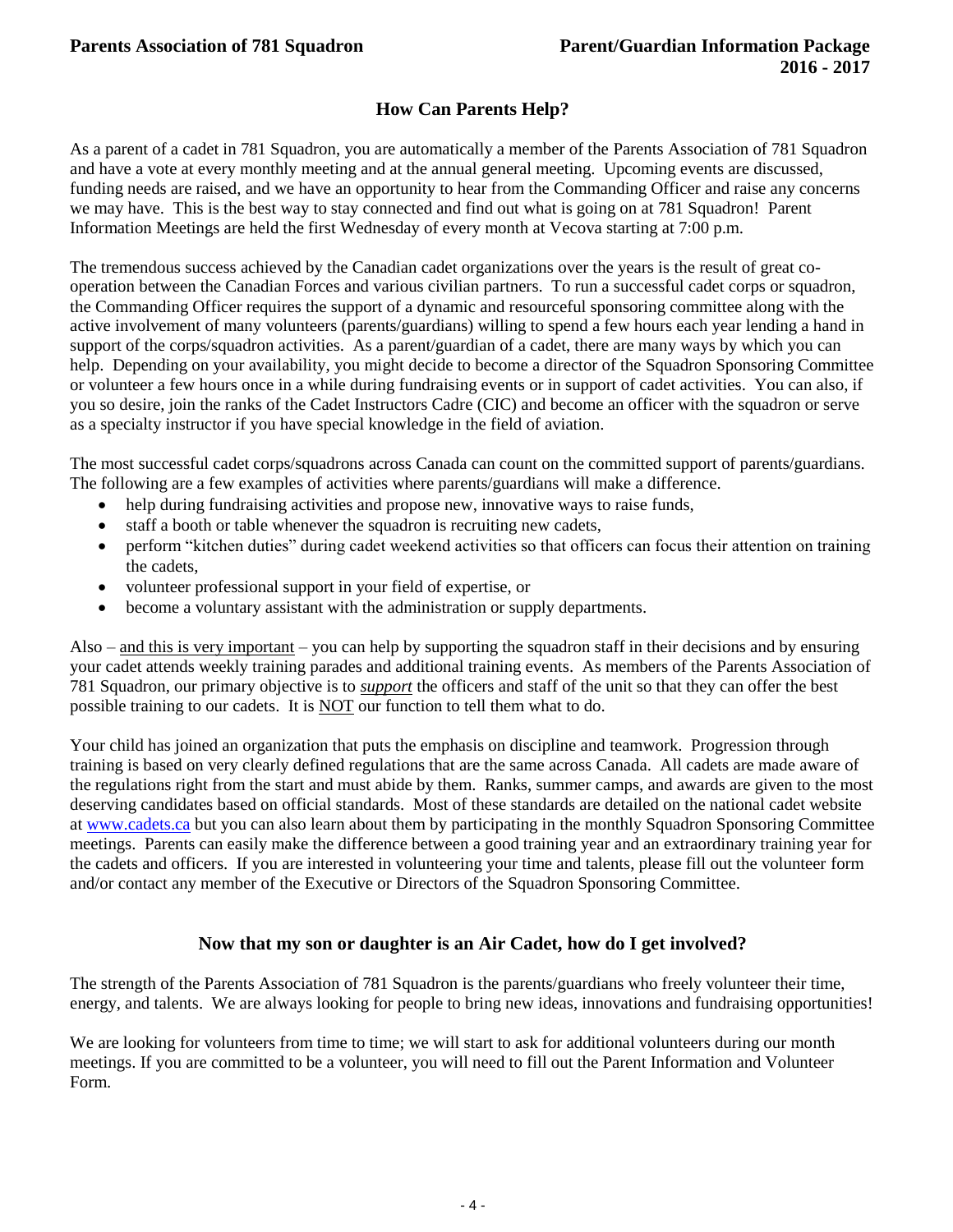# **How Can Parents Help?**

As a parent of a cadet in 781 Squadron, you are automatically a member of the Parents Association of 781 Squadron and have a vote at every monthly meeting and at the annual general meeting. Upcoming events are discussed, funding needs are raised, and we have an opportunity to hear from the Commanding Officer and raise any concerns we may have. This is the best way to stay connected and find out what is going on at 781 Squadron! Parent Information Meetings are held the first Wednesday of every month at Vecova starting at 7:00 p.m.

The tremendous success achieved by the Canadian cadet organizations over the years is the result of great cooperation between the Canadian Forces and various civilian partners. To run a successful cadet corps or squadron, the Commanding Officer requires the support of a dynamic and resourceful sponsoring committee along with the active involvement of many volunteers (parents/guardians) willing to spend a few hours each year lending a hand in support of the corps/squadron activities. As a parent/guardian of a cadet, there are many ways by which you can help. Depending on your availability, you might decide to become a director of the Squadron Sponsoring Committee or volunteer a few hours once in a while during fundraising events or in support of cadet activities. You can also, if you so desire, join the ranks of the Cadet Instructors Cadre (CIC) and become an officer with the squadron or serve as a specialty instructor if you have special knowledge in the field of aviation.

The most successful cadet corps/squadrons across Canada can count on the committed support of parents/guardians. The following are a few examples of activities where parents/guardians will make a difference.

- help during fundraising activities and propose new, innovative ways to raise funds,
- staff a booth or table whenever the squadron is recruiting new cadets,
- perform "kitchen duties" during cadet weekend activities so that officers can focus their attention on training the cadets,
- volunteer professional support in your field of expertise, or
- become a voluntary assistant with the administration or supply departments.

Also – and this is very important – you can help by supporting the squadron staff in their decisions and by ensuring your cadet attends weekly training parades and additional training events. As members of the Parents Association of 781 Squadron, our primary objective is to *support* the officers and staff of the unit so that they can offer the best possible training to our cadets. It is NOT our function to tell them what to do.

Your child has joined an organization that puts the emphasis on discipline and teamwork. Progression through training is based on very clearly defined regulations that are the same across Canada. All cadets are made aware of the regulations right from the start and must abide by them. Ranks, summer camps, and awards are given to the most deserving candidates based on official standards. Most of these standards are detailed on the national cadet website at [www.cadets.ca](http://www.cadets.ca/) but you can also learn about them by participating in the monthly Squadron Sponsoring Committee meetings. Parents can easily make the difference between a good training year and an extraordinary training year for the cadets and officers. If you are interested in volunteering your time and talents, please fill out the volunteer form and/or contact any member of the Executive or Directors of the Squadron Sponsoring Committee.

# **Now that my son or daughter is an Air Cadet, how do I get involved?**

The strength of the Parents Association of 781 Squadron is the parents/guardians who freely volunteer their time, energy, and talents. We are always looking for people to bring new ideas, innovations and fundraising opportunities!

We are looking for volunteers from time to time; we will start to ask for additional volunteers during our month meetings. If you are committed to be a volunteer, you will need to fill out the Parent Information and Volunteer Form.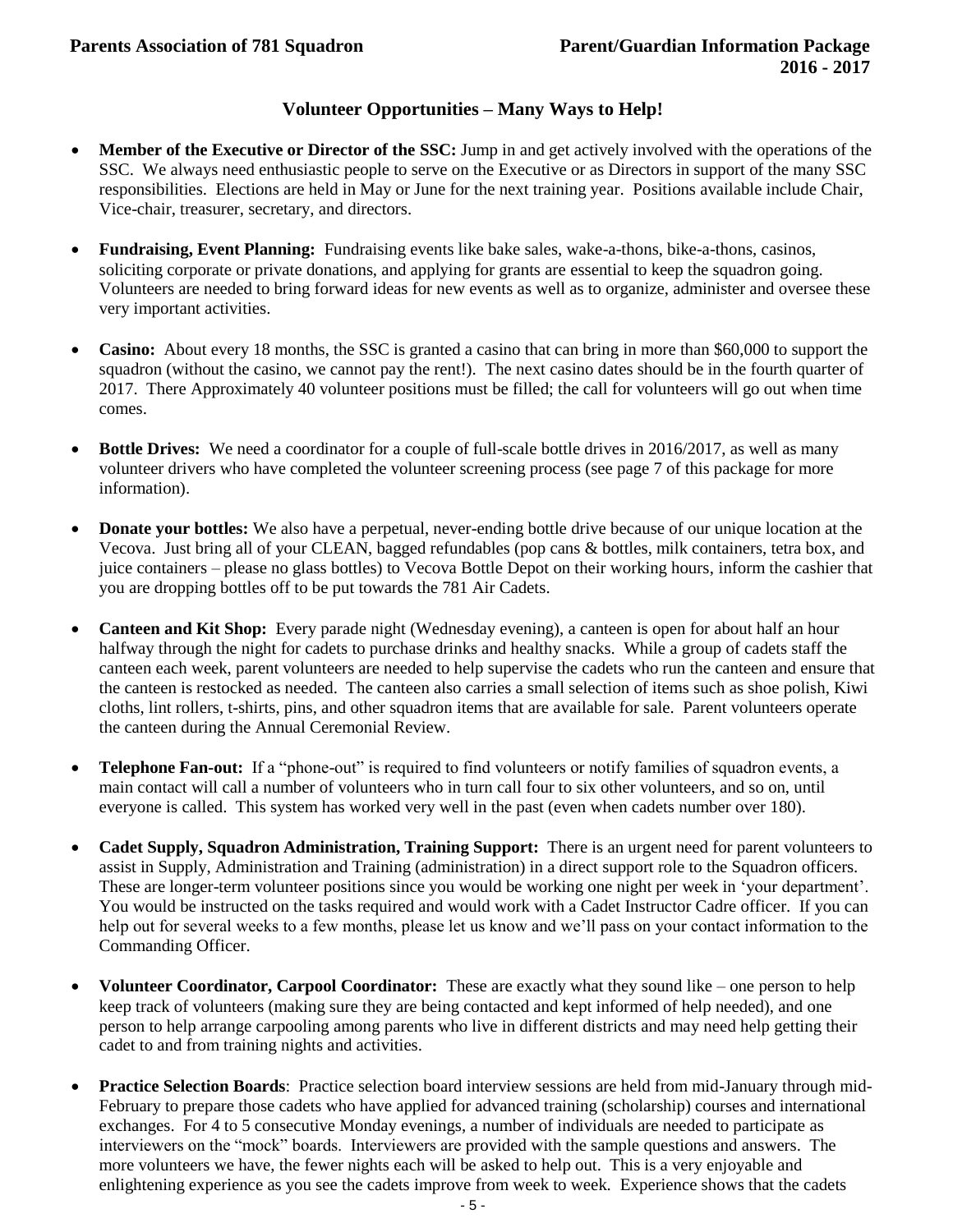# **Volunteer Opportunities – Many Ways to Help!**

- **Member of the Executive or Director of the SSC:** Jump in and get actively involved with the operations of the SSC. We always need enthusiastic people to serve on the Executive or as Directors in support of the many SSC responsibilities. Elections are held in May or June for the next training year. Positions available include Chair, Vice-chair, treasurer, secretary, and directors.
- **Fundraising, Event Planning:** Fundraising events like bake sales, wake-a-thons, bike-a-thons, casinos, soliciting corporate or private donations, and applying for grants are essential to keep the squadron going. Volunteers are needed to bring forward ideas for new events as well as to organize, administer and oversee these very important activities.
- **Casino:** About every 18 months, the SSC is granted a casino that can bring in more than \$60,000 to support the squadron (without the casino, we cannot pay the rent!). The next casino dates should be in the fourth quarter of 2017. There Approximately 40 volunteer positions must be filled; the call for volunteers will go out when time comes.
- **Bottle Drives:** We need a coordinator for a couple of full-scale bottle drives in 2016/2017, as well as many volunteer drivers who have completed the volunteer screening process (see page 7 of this package for more information).
- **Donate your bottles:** We also have a perpetual, never-ending bottle drive because of our unique location at the Vecova. Just bring all of your CLEAN, bagged refundables (pop cans & bottles, milk containers, tetra box, and juice containers – please no glass bottles) to Vecova Bottle Depot on their working hours, inform the cashier that you are dropping bottles off to be put towards the 781 Air Cadets.
- **Canteen and Kit Shop:** Every parade night (Wednesday evening), a canteen is open for about half an hour halfway through the night for cadets to purchase drinks and healthy snacks. While a group of cadets staff the canteen each week, parent volunteers are needed to help supervise the cadets who run the canteen and ensure that the canteen is restocked as needed. The canteen also carries a small selection of items such as shoe polish, Kiwi cloths, lint rollers, t-shirts, pins, and other squadron items that are available for sale. Parent volunteers operate the canteen during the Annual Ceremonial Review.
- **Telephone Fan-out:** If a "phone-out" is required to find volunteers or notify families of squadron events, a main contact will call a number of volunteers who in turn call four to six other volunteers, and so on, until everyone is called. This system has worked very well in the past (even when cadets number over 180).
- **Cadet Supply, Squadron Administration, Training Support:** There is an urgent need for parent volunteers to assist in Supply, Administration and Training (administration) in a direct support role to the Squadron officers. These are longer-term volunteer positions since you would be working one night per week in 'your department'. You would be instructed on the tasks required and would work with a Cadet Instructor Cadre officer. If you can help out for several weeks to a few months, please let us know and we'll pass on your contact information to the Commanding Officer.
- **Volunteer Coordinator, Carpool Coordinator:** These are exactly what they sound like one person to help keep track of volunteers (making sure they are being contacted and kept informed of help needed), and one person to help arrange carpooling among parents who live in different districts and may need help getting their cadet to and from training nights and activities.
- **Practice Selection Boards**: Practice selection board interview sessions are held from mid-January through mid-February to prepare those cadets who have applied for advanced training (scholarship) courses and international exchanges. For 4 to 5 consecutive Monday evenings, a number of individuals are needed to participate as interviewers on the "mock" boards. Interviewers are provided with the sample questions and answers. The more volunteers we have, the fewer nights each will be asked to help out. This is a very enjoyable and enlightening experience as you see the cadets improve from week to week. Experience shows that the cadets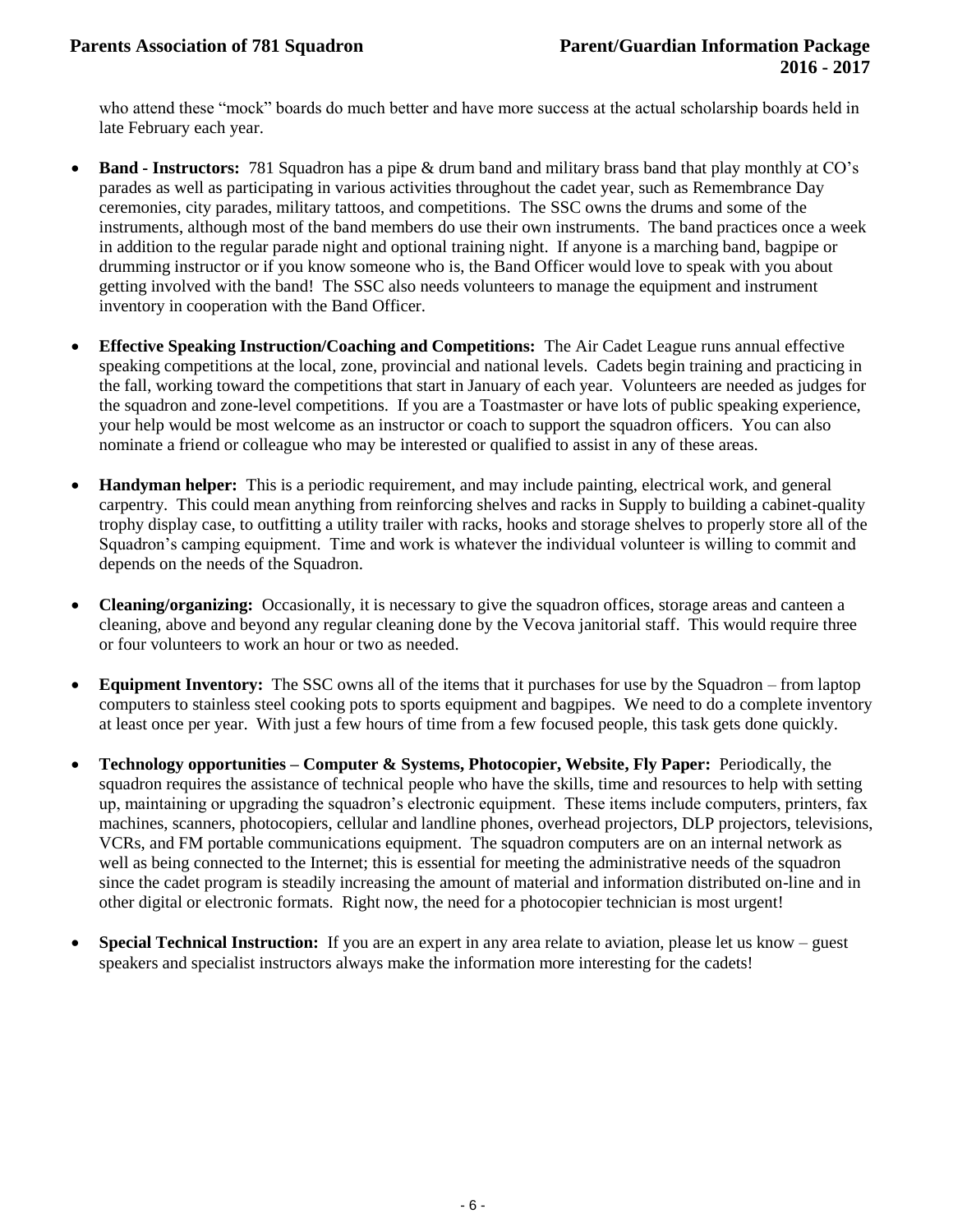who attend these "mock" boards do much better and have more success at the actual scholarship boards held in late February each year.

- **Band - Instructors:** 781 Squadron has a pipe & drum band and military brass band that play monthly at CO's parades as well as participating in various activities throughout the cadet year, such as Remembrance Day ceremonies, city parades, military tattoos, and competitions. The SSC owns the drums and some of the instruments, although most of the band members do use their own instruments. The band practices once a week in addition to the regular parade night and optional training night. If anyone is a marching band, bagpipe or drumming instructor or if you know someone who is, the Band Officer would love to speak with you about getting involved with the band! The SSC also needs volunteers to manage the equipment and instrument inventory in cooperation with the Band Officer.
- **Effective Speaking Instruction/Coaching and Competitions:** The Air Cadet League runs annual effective speaking competitions at the local, zone, provincial and national levels. Cadets begin training and practicing in the fall, working toward the competitions that start in January of each year. Volunteers are needed as judges for the squadron and zone-level competitions. If you are a Toastmaster or have lots of public speaking experience, your help would be most welcome as an instructor or coach to support the squadron officers. You can also nominate a friend or colleague who may be interested or qualified to assist in any of these areas.
- **Handyman helper:** This is a periodic requirement, and may include painting, electrical work, and general carpentry. This could mean anything from reinforcing shelves and racks in Supply to building a cabinet-quality trophy display case, to outfitting a utility trailer with racks, hooks and storage shelves to properly store all of the Squadron's camping equipment. Time and work is whatever the individual volunteer is willing to commit and depends on the needs of the Squadron.
- **Cleaning/organizing:** Occasionally, it is necessary to give the squadron offices, storage areas and canteen a cleaning, above and beyond any regular cleaning done by the Vecova janitorial staff. This would require three or four volunteers to work an hour or two as needed.
- **Equipment Inventory:** The SSC owns all of the items that it purchases for use by the Squadron from laptop computers to stainless steel cooking pots to sports equipment and bagpipes. We need to do a complete inventory at least once per year. With just a few hours of time from a few focused people, this task gets done quickly.
- **Technology opportunities – Computer & Systems, Photocopier, Website, Fly Paper:** Periodically, the squadron requires the assistance of technical people who have the skills, time and resources to help with setting up, maintaining or upgrading the squadron's electronic equipment. These items include computers, printers, fax machines, scanners, photocopiers, cellular and landline phones, overhead projectors, DLP projectors, televisions, VCRs, and FM portable communications equipment. The squadron computers are on an internal network as well as being connected to the Internet; this is essential for meeting the administrative needs of the squadron since the cadet program is steadily increasing the amount of material and information distributed on-line and in other digital or electronic formats. Right now, the need for a photocopier technician is most urgent!
- **Special Technical Instruction:** If you are an expert in any area relate to aviation, please let us know guest speakers and specialist instructors always make the information more interesting for the cadets!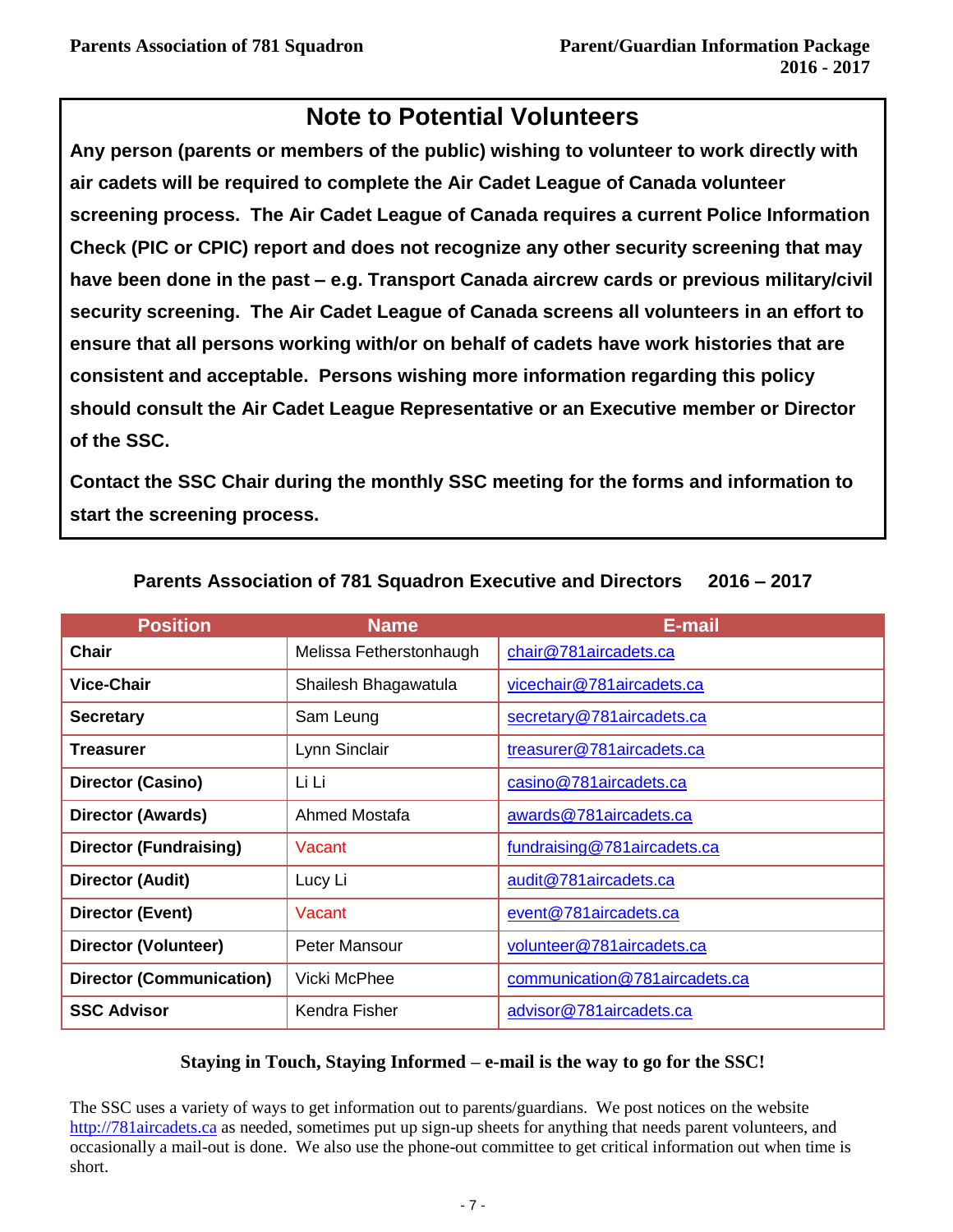# **Note to Potential Volunteers**

**Any person (parents or members of the public) wishing to volunteer to work directly with air cadets will be required to complete the Air Cadet League of Canada volunteer screening process. The Air Cadet League of Canada requires a current Police Information Check (PIC or CPIC) report and does not recognize any other security screening that may have been done in the past – e.g. Transport Canada aircrew cards or previous military/civil security screening. The Air Cadet League of Canada screens all volunteers in an effort to ensure that all persons working with/or on behalf of cadets have work histories that are consistent and acceptable. Persons wishing more information regarding this policy should consult the Air Cadet League Representative or an Executive member or Director of the SSC.**

**Contact the SSC Chair during the monthly SSC meeting for the forms and information to start the screening process.**

| <b>Position</b>                 | <b>Name</b>             | E-mail                        |
|---------------------------------|-------------------------|-------------------------------|
| <b>Chair</b>                    | Melissa Fetherstonhaugh | chair@781aircadets.ca         |
| <b>Vice-Chair</b>               | Shailesh Bhagawatula    | vicechair@781aircadets.ca     |
| <b>Secretary</b>                | Sam Leung               | secretary@781aircadets.ca     |
| Treasurer                       | Lynn Sinclair           | treasurer@781aircadets.ca     |
| <b>Director (Casino)</b>        | Li Li                   | casino@781aircadets.ca        |
| <b>Director (Awards)</b>        | Ahmed Mostafa           | awards@781aircadets.ca        |
| <b>Director (Fundraising)</b>   | Vacant                  | fundraising@781aircadets.ca   |
| <b>Director (Audit)</b>         | Lucy Li                 | audit@781aircadets.ca         |
| <b>Director (Event)</b>         | Vacant                  | event@781aircadets.ca         |
| <b>Director (Volunteer)</b>     | Peter Mansour           | volunteer@781aircadets.ca     |
| <b>Director (Communication)</b> | Vicki McPhee            | communication@781aircadets.ca |
| <b>SSC Advisor</b>              | Kendra Fisher           | advisor@781aircadets.ca       |

# **Parents Association of 781 Squadron Executive and Directors 2016 – 2017**

# **Staying in Touch, Staying Informed – e-mail is the way to go for the SSC!**

The SSC uses a variety of ways to get information out to parents/guardians. We post notices on the website [http://781aircadets.ca](http://781aircadets.ca/) as needed, sometimes put up sign-up sheets for anything that needs parent volunteers, and occasionally a mail-out is done. We also use the phone-out committee to get critical information out when time is short.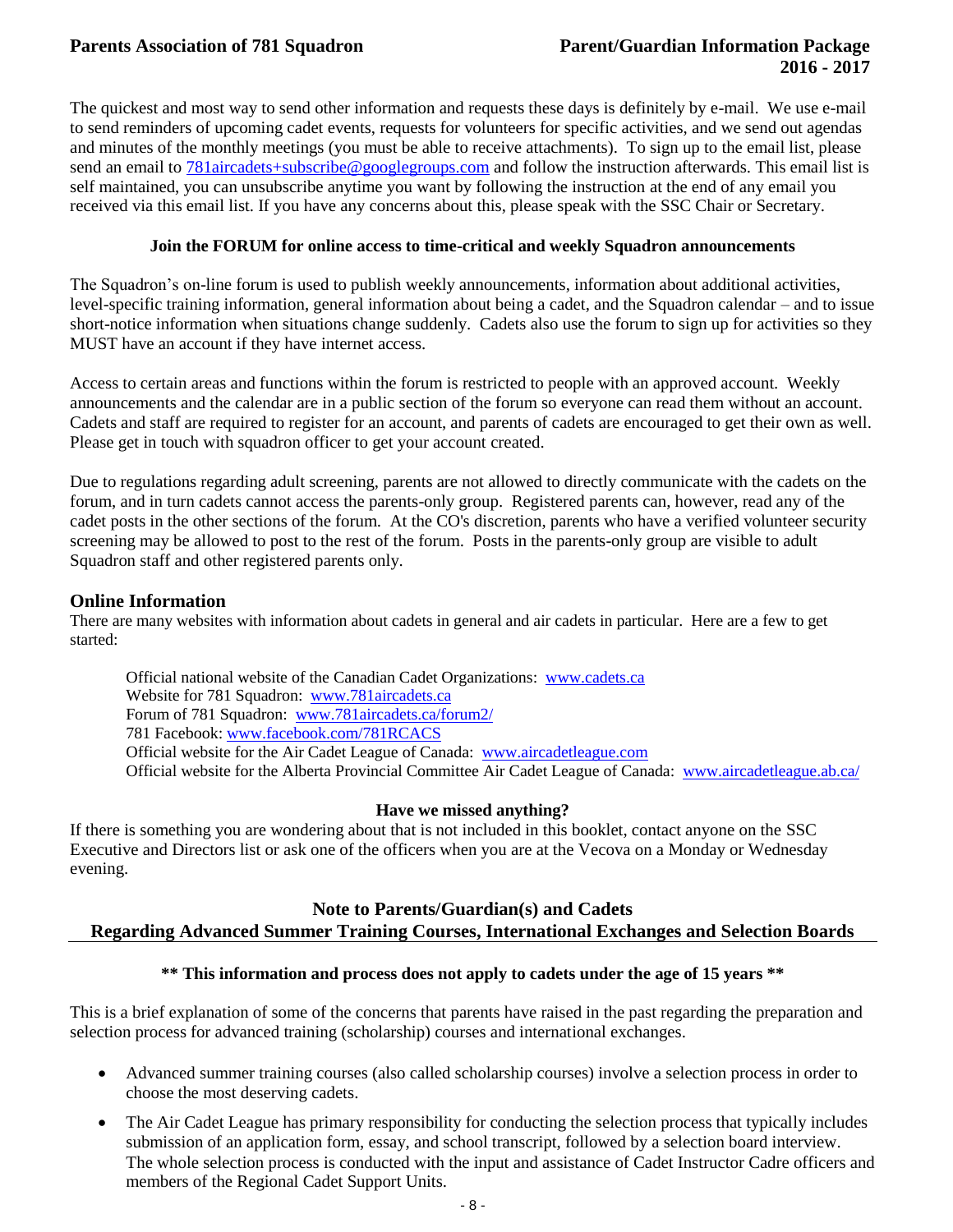The quickest and most way to send other information and requests these days is definitely by e-mail. We use e-mail to send reminders of upcoming cadet events, requests for volunteers for specific activities, and we send out agendas and minutes of the monthly meetings (you must be able to receive attachments). To sign up to the email list, please send an email to [781aircadets+subscribe@googlegroups.com](mailto:781aircadets+subscribe@googlegroups.com) and follow the instruction afterwards. This email list is self maintained, you can unsubscribe anytime you want by following the instruction at the end of any email you received via this email list. If you have any concerns about this, please speak with the SSC Chair or Secretary.

### **Join the FORUM for online access to time-critical and weekly Squadron announcements**

The Squadron's on-line forum is used to publish weekly announcements, information about additional activities, level-specific training information, general information about being a cadet, and the Squadron calendar – and to issue short-notice information when situations change suddenly. Cadets also use the forum to sign up for activities so they MUST have an account if they have internet access.

Access to certain areas and functions within the forum is restricted to people with an approved account. Weekly announcements and the calendar are in a public section of the forum so everyone can read them without an account. Cadets and staff are required to register for an account, and parents of cadets are encouraged to get their own as well. Please get in touch with squadron officer to get your account created.

Due to regulations regarding adult screening, parents are not allowed to directly communicate with the cadets on the forum, and in turn cadets cannot access the parents-only group. Registered parents can, however, read any of the cadet posts in the other sections of the forum. At the CO's discretion, parents who have a verified volunteer security screening may be allowed to post to the rest of the forum. Posts in the parents-only group are visible to adult Squadron staff and other registered parents only.

# **Online Information**

There are many websites with information about cadets in general and air cadets in particular. Here are a few to get started:

Official national website of the Canadian Cadet Organizations: [www.cadets.ca](http://www.cadets.ca/) Website for 781 Squadron: [www.781aircadets.ca](http://www.781aircadets.ca/) Forum of 781 Squadron: [www.781aircadets.ca/forum2/](http://www.781aircadets.ca/forum2/) 781 Facebook[: www.facebook.com/781RCACS](http://www.facebook.com/781RCACS) Official website for the Air Cadet League of Canada: [www.aircadetleague.com](http://www.aircadetleague.com/) Official website for the Alberta Provincial Committee Air Cadet League of Canada: [www.aircadetleague.ab.ca/](http://www.aircadetleague.ab.ca/)

# **Have we missed anything?**

If there is something you are wondering about that is not included in this booklet, contact anyone on the SSC Executive and Directors list or ask one of the officers when you are at the Vecova on a Monday or Wednesday evening.

# **Note to Parents/Guardian(s) and Cadets Regarding Advanced Summer Training Courses, International Exchanges and Selection Boards**

# **\*\* This information and process does not apply to cadets under the age of 15 years \*\***

This is a brief explanation of some of the concerns that parents have raised in the past regarding the preparation and selection process for advanced training (scholarship) courses and international exchanges.

- Advanced summer training courses (also called scholarship courses) involve a selection process in order to choose the most deserving cadets.
- The Air Cadet League has primary responsibility for conducting the selection process that typically includes submission of an application form, essay, and school transcript, followed by a selection board interview. The whole selection process is conducted with the input and assistance of Cadet Instructor Cadre officers and members of the Regional Cadet Support Units.